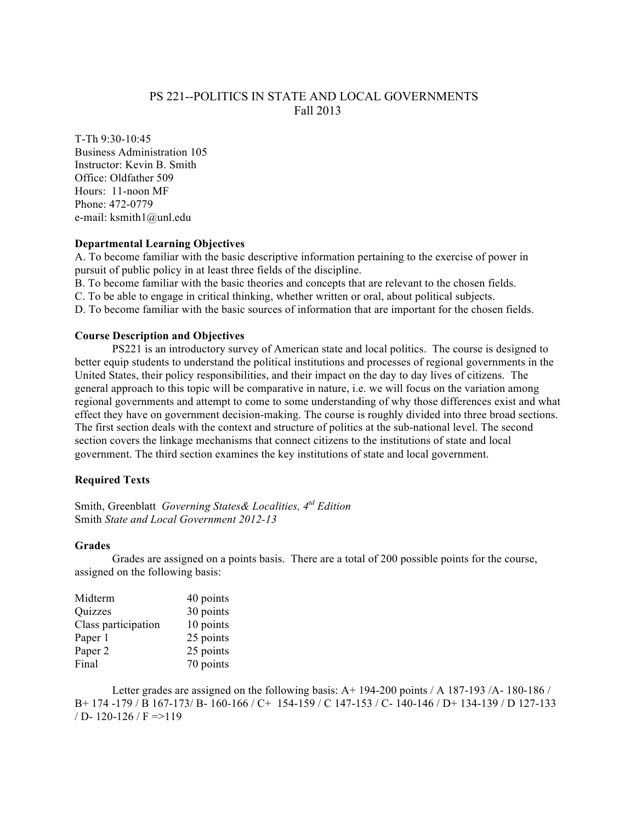# PS 221--POLITICS IN STATE AND LOCAL GOVERNMENTS Fall 2013

T-Th 9:30-10:45 Business Administration 105 Instructor: Kevin B. Smith Office: Oldfather 509 Hours: 11-noon MF Phone: 472-0779 e-mail: ksmith1@unl.edu

## **Departmental Learning Objectives**

A. To become familiar with the basic descriptive information pertaining to the exercise of power in pursuit of public policy in at least three fields of the discipline.

B. To become familiar with the basic theories and concepts that are relevant to the chosen fields.

C. To be able to engage in critical thinking, whether written or oral, about political subjects.

D. To become familiar with the basic sources of information that are important for the chosen fields.

### **Course Description and Objectives**

PS221 is an introductory survey of American state and local politics. The course is designed to better equip students to understand the political institutions and processes of regional governments in the United States, their policy responsibilities, and their impact on the day to day lives of citizens. The general approach to this topic will be comparative in nature, i.e. we will focus on the variation among regional governments and attempt to come to some understanding of why those differences exist and what effect they have on government decision-making. The course is roughly divided into three broad sections. The first section deals with the context and structure of politics at the sub-national level. The second section covers the linkage mechanisms that connect citizens to the institutions of state and local government. The third section examines the key institutions of state and local government.

# **Required Texts**

Smith, Greenblatt *Governing States& Localities, 4td Edition* Smith *State and Local Government 2012-13*

### **Grades**

Grades are assigned on a points basis. There are a total of 200 possible points for the course, assigned on the following basis:

| Midterm             | 40 points |
|---------------------|-----------|
| Quizzes             | 30 points |
| Class participation | 10 points |
| Paper 1             | 25 points |
| Paper 2             | 25 points |
| Final               | 70 points |

Letter grades are assigned on the following basis: A+ 194-200 points / A 187-193 /A- 180-186 / B+ 174 -179 / B 167-173/ B- 160-166 / C+ 154-159 / C 147-153 / C- 140-146 / D+ 134-139 / D 127-133  $/D - 120 - 126 / F \approx 119$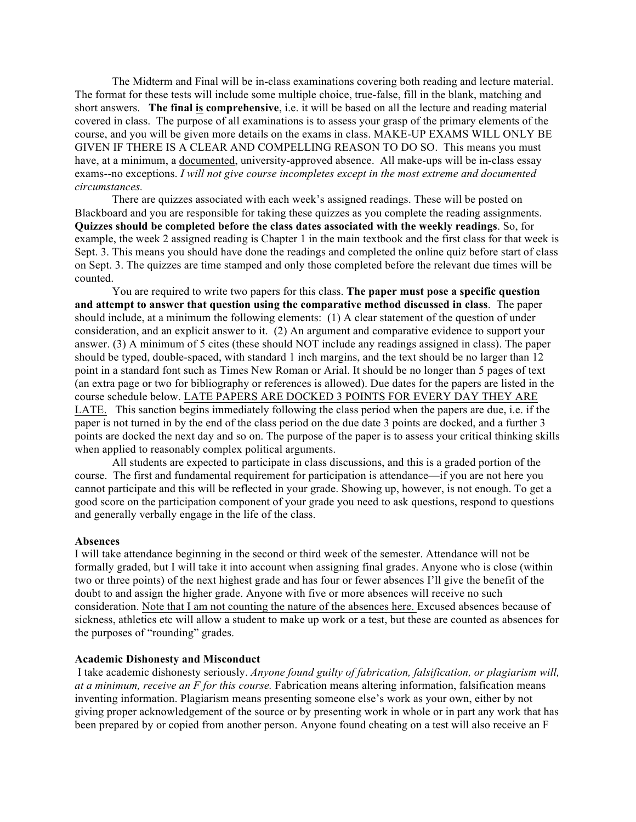The Midterm and Final will be in-class examinations covering both reading and lecture material. The format for these tests will include some multiple choice, true-false, fill in the blank, matching and short answers. **The final is comprehensive**, i.e. it will be based on all the lecture and reading material covered in class. The purpose of all examinations is to assess your grasp of the primary elements of the course, and you will be given more details on the exams in class. MAKE-UP EXAMS WILL ONLY BE GIVEN IF THERE IS A CLEAR AND COMPELLING REASON TO DO SO. This means you must have, at a minimum, a documented, university-approved absence. All make-ups will be in-class essay exams--no exceptions. *I will not give course incompletes except in the most extreme and documented circumstances.*

There are quizzes associated with each week's assigned readings. These will be posted on Blackboard and you are responsible for taking these quizzes as you complete the reading assignments. **Quizzes should be completed before the class dates associated with the weekly readings**. So, for example, the week 2 assigned reading is Chapter 1 in the main textbook and the first class for that week is Sept. 3. This means you should have done the readings and completed the online quiz before start of class on Sept. 3. The quizzes are time stamped and only those completed before the relevant due times will be counted.

You are required to write two papers for this class. **The paper must pose a specific question and attempt to answer that question using the comparative method discussed in class**. The paper should include, at a minimum the following elements: (1) A clear statement of the question of under consideration, and an explicit answer to it. (2) An argument and comparative evidence to support your answer. (3) A minimum of 5 cites (these should NOT include any readings assigned in class). The paper should be typed, double-spaced, with standard 1 inch margins, and the text should be no larger than 12 point in a standard font such as Times New Roman or Arial. It should be no longer than 5 pages of text (an extra page or two for bibliography or references is allowed). Due dates for the papers are listed in the course schedule below. LATE PAPERS ARE DOCKED 3 POINTS FOR EVERY DAY THEY ARE LATE. This sanction begins immediately following the class period when the papers are due, i.e. if the paper is not turned in by the end of the class period on the due date 3 points are docked, and a further 3 points are docked the next day and so on. The purpose of the paper is to assess your critical thinking skills when applied to reasonably complex political arguments.

All students are expected to participate in class discussions, and this is a graded portion of the course. The first and fundamental requirement for participation is attendance—if you are not here you cannot participate and this will be reflected in your grade. Showing up, however, is not enough. To get a good score on the participation component of your grade you need to ask questions, respond to questions and generally verbally engage in the life of the class.

### **Absences**

I will take attendance beginning in the second or third week of the semester. Attendance will not be formally graded, but I will take it into account when assigning final grades. Anyone who is close (within two or three points) of the next highest grade and has four or fewer absences I'll give the benefit of the doubt to and assign the higher grade. Anyone with five or more absences will receive no such consideration. Note that I am not counting the nature of the absences here. Excused absences because of sickness, athletics etc will allow a student to make up work or a test, but these are counted as absences for the purposes of "rounding" grades.

#### **Academic Dishonesty and Misconduct**

I take academic dishonesty seriously. *Anyone found guilty of fabrication, falsification, or plagiarism will, at a minimum, receive an F for this course.* Fabrication means altering information, falsification means inventing information. Plagiarism means presenting someone else's work as your own, either by not giving proper acknowledgement of the source or by presenting work in whole or in part any work that has been prepared by or copied from another person. Anyone found cheating on a test will also receive an F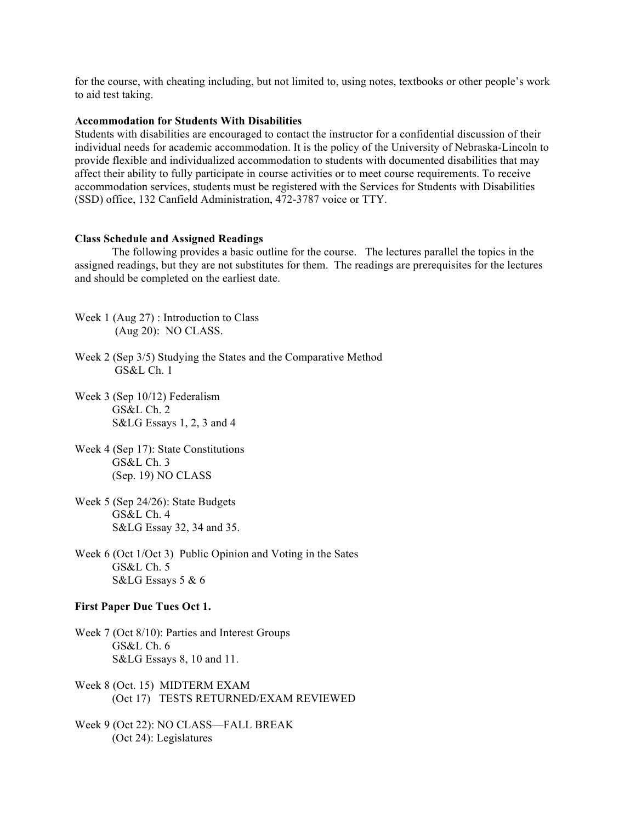for the course, with cheating including, but not limited to, using notes, textbooks or other people's work to aid test taking.

#### **Accommodation for Students With Disabilities**

Students with disabilities are encouraged to contact the instructor for a confidential discussion of their individual needs for academic accommodation. It is the policy of the University of Nebraska-Lincoln to provide flexible and individualized accommodation to students with documented disabilities that may affect their ability to fully participate in course activities or to meet course requirements. To receive accommodation services, students must be registered with the Services for Students with Disabilities (SSD) office, 132 Canfield Administration, 472-3787 voice or TTY.

#### **Class Schedule and Assigned Readings**

The following provides a basic outline for the course. The lectures parallel the topics in the assigned readings, but they are not substitutes for them. The readings are prerequisites for the lectures and should be completed on the earliest date.

- Week 1 (Aug 27) : Introduction to Class (Aug 20): NO CLASS.
- Week 2 (Sep 3/5) Studying the States and the Comparative Method GS&L Ch. 1
- Week 3 (Sep 10/12) Federalism GS&L Ch. 2 S&LG Essays 1, 2, 3 and 4
- Week 4 (Sep 17): State Constitutions GS&L Ch. 3 (Sep. 19) NO CLASS
- Week 5 (Sep 24/26): State Budgets GS&L Ch. 4 S&LG Essay 32, 34 and 35.
- Week 6 (Oct 1/Oct 3) Public Opinion and Voting in the Sates GS&L Ch. 5 S&LG Essays 5 & 6

### **First Paper Due Tues Oct 1.**

- Week 7 (Oct 8/10): Parties and Interest Groups GS&L Ch. 6 S&LG Essays 8, 10 and 11.
- Week 8 (Oct. 15) MIDTERM EXAM (Oct 17) TESTS RETURNED/EXAM REVIEWED
- Week 9 (Oct 22): NO CLASS—FALL BREAK (Oct 24): Legislatures